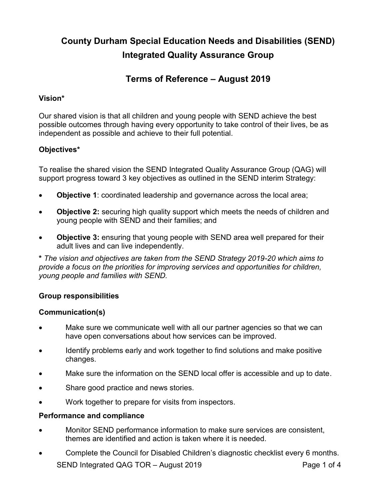# **County Durham Special Education Needs and Disabilities (SEND) Integrated Quality Assurance Group**

# **Terms of Reference – August 2019**

# **Vision\***

Our shared vision is that all children and young people with SEND achieve the best possible outcomes through having every opportunity to take control of their lives, be as independent as possible and achieve to their full potential.

# **Objectives\***

To realise the shared vision the SEND Integrated Quality Assurance Group (QAG) will support progress toward 3 key objectives as outlined in the SEND interim Strategy:

- **Objective 1**: coordinated leadership and governance across the local area;
- **Objective 2:** securing high quality support which meets the needs of children and young people with SEND and their families; and
- **Objective 3:** ensuring that young people with SEND area well prepared for their adult lives and can live independently.

**\*** *The vision and objectives are taken from the SEND Strategy 2019-20 which aims to provide a focus on the priorities for improving services and opportunities for children, young people and families with SEND.* 

# **Group responsibilities**

# **Communication(s)**

- Make sure we communicate well with all our partner agencies so that we can have open conversations about how services can be improved.
- Identify problems early and work together to find solutions and make positive changes.
- Make sure the information on the SEND local offer is accessible and up to date.
- Share good practice and news stories.
- Work together to prepare for visits from inspectors.

# **Performance and compliance**

- Monitor SEND performance information to make sure services are consistent, themes are identified and action is taken where it is needed.
- SEND Integrated QAG TOR August 2019 Page 1 of 4 • Complete the Council for Disabled Children's diagnostic checklist every 6 months.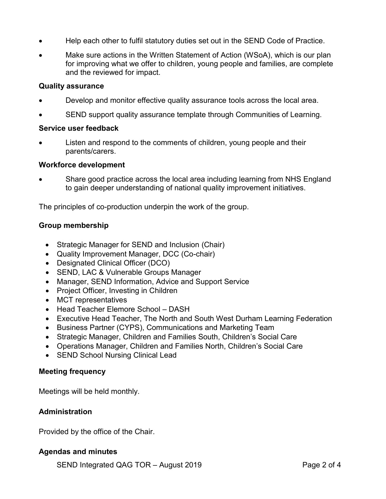- Help each other to fulfil statutory duties set out in the SEND Code of Practice.
- Make sure actions in the Written Statement of Action (WSoA), which is our plan for improving what we offer to children, young people and families, are complete and the reviewed for impact.

#### **Quality assurance**

- Develop and monitor effective quality assurance tools across the local area.
- SEND support quality assurance template through Communities of Learning.

#### **Service user feedback**

Listen and respond to the comments of children, young people and their parents/carers.

#### **Workforce development**

• Share good practice across the local area including learning from NHS England to gain deeper understanding of national quality improvement initiatives.

The principles of co-production underpin the work of the group.

# **Group membership**

- Strategic Manager for SEND and Inclusion (Chair)
- Quality Improvement Manager, DCC (Co-chair)
- Designated Clinical Officer (DCO)
- SEND, LAC & Vulnerable Groups Manager
- Manager, SEND Information, Advice and Support Service
- Project Officer, Investing in Children
- MCT representatives
- Head Teacher Elemore School DASH
- Executive Head Teacher, The North and South West Durham Learning Federation
- Business Partner (CYPS), Communications and Marketing Team
- Strategic Manager, Children and Families South, Children's Social Care
- Operations Manager, Children and Families North, Children's Social Care
- SEND School Nursing Clinical Lead

# **Meeting frequency**

Meetings will be held monthly.

# **Administration**

Provided by the office of the Chair.

# **Agendas and minutes**

SEND Integrated QAG TOR – August 2019 **Page 2 of 4**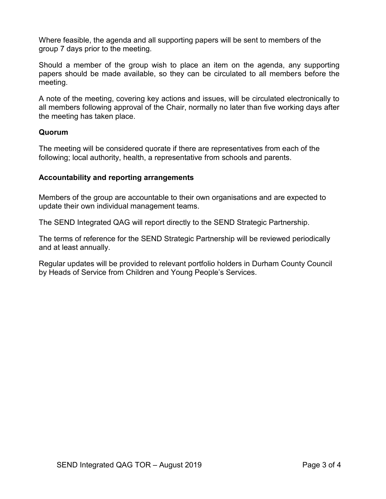Where feasible, the agenda and all supporting papers will be sent to members of the group 7 days prior to the meeting.

Should a member of the group wish to place an item on the agenda, any supporting papers should be made available, so they can be circulated to all members before the meeting.

A note of the meeting, covering key actions and issues, will be circulated electronically to all members following approval of the Chair, normally no later than five working days after the meeting has taken place.

# **Quorum**

The meeting will be considered quorate if there are representatives from each of the following; local authority, health, a representative from schools and parents.

# **Accountability and reporting arrangements**

Members of the group are accountable to their own organisations and are expected to update their own individual management teams.

The SEND Integrated QAG will report directly to the SEND Strategic Partnership.

The terms of reference for the SEND Strategic Partnership will be reviewed periodically and at least annually.

Regular updates will be provided to relevant portfolio holders in Durham County Council by Heads of Service from Children and Young People's Services.